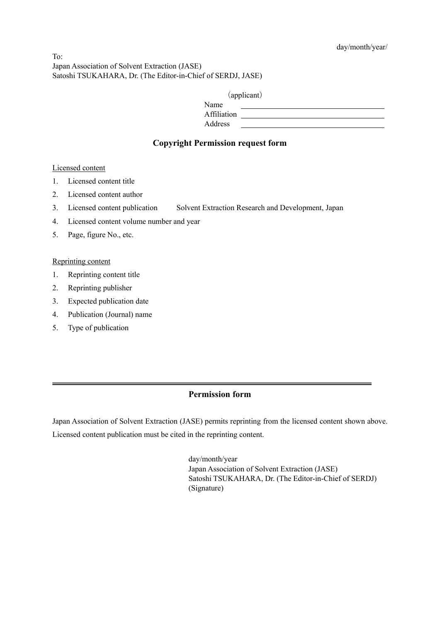$To^{\dagger}$ Japan Association of Solvent Extraction (JASE) Satoshi TSUKAHARA, Dr. (The Editor-in-Chief of SERDJ, JASE)

| (applicant) |  |
|-------------|--|
|             |  |

| Name        |  |
|-------------|--|
| Affiliation |  |
| Address     |  |

# **Copyright Permission request form**

### Licensed content

- 1. Licensed content title
- 2. Licensed content author
- 3. Licensed content publication Solvent Extraction Research and Development, Japan
- 4. Licensed content volume number and year
- 5. Page, figure No., etc.

#### Reprinting content

- 1. Reprinting content title
- 2. Reprinting publisher
- 3. Expected publication date
- 4. Publication (Journal) name
- 5. Type of publication

# **Permission form**

Japan Association of Solvent Extraction (JASE) permits reprinting from the licensed content shown above. Licensed content publication must be cited in the reprinting content.

> day/month/year Japan Association of Solvent Extraction (JASE) Satoshi TSUKAHARA, Dr. (The Editor-in-Chief of SERDJ) (Signature)